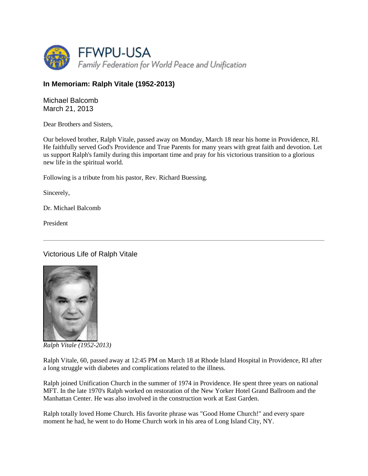

## **In Memoriam: Ralph Vitale (1952-2013)**

Michael Balcomb March 21, 2013

Dear Brothers and Sisters,

Our beloved brother, Ralph Vitale, passed away on Monday, March 18 near his home in Providence, RI. He faithfully served God's Providence and True Parents for many years with great faith and devotion. Let us support Ralph's family during this important time and pray for his victorious transition to a glorious new life in the spiritual world.

Following is a tribute from his pastor, Rev. Richard Buessing.

Sincerely,

Dr. Michael Balcomb

President

Victorious Life of Ralph Vitale



*Ralph Vitale (1952-2013)* 

Ralph Vitale, 60, passed away at 12:45 PM on March 18 at Rhode Island Hospital in Providence, RI after a long struggle with diabetes and complications related to the illness.

Ralph joined Unification Church in the summer of 1974 in Providence. He spent three years on national MFT. In the late 1970's Ralph worked on restoration of the New Yorker Hotel Grand Ballroom and the Manhattan Center. He was also involved in the construction work at East Garden.

Ralph totally loved Home Church. His favorite phrase was "Good Home Church!" and every spare moment he had, he went to do Home Church work in his area of Long Island City, NY.